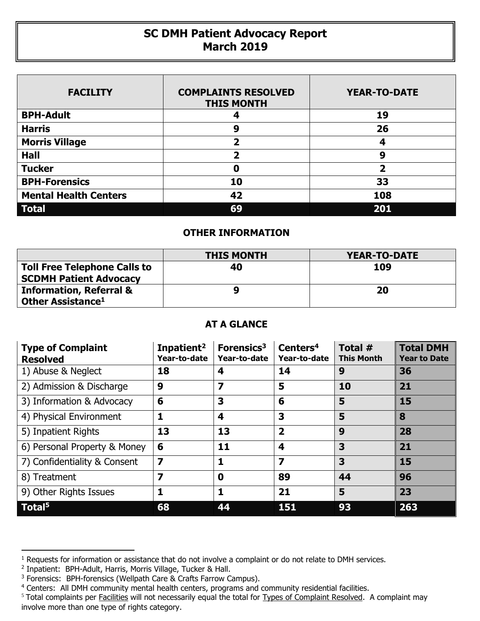## **SC DMH Patient Advocacy Report March 2019**

| <b>FACILITY</b>              | <b>COMPLAINTS RESOLVED</b><br><b>THIS MONTH</b> | <b>YEAR-TO-DATE</b>     |
|------------------------------|-------------------------------------------------|-------------------------|
| <b>BPH-Adult</b>             | 4                                               | 19                      |
| <b>Harris</b>                | 9                                               | 26                      |
| <b>Morris Village</b>        | 2                                               | 4                       |
| <b>Hall</b>                  | 2                                               | 9                       |
| <b>Tucker</b>                | 0                                               | $\overline{\mathbf{2}}$ |
| <b>BPH-Forensics</b>         | 10                                              | 33                      |
| <b>Mental Health Centers</b> | 42                                              | 108                     |
| <b>Total</b>                 | 69                                              | 201                     |

## **OTHER INFORMATION**

|                                                                      | <b>THIS MONTH</b> | YEAR-TO-DATE |
|----------------------------------------------------------------------|-------------------|--------------|
| <b>Toll Free Telephone Calls to</b><br><b>SCDMH Patient Advocacy</b> | 40                | 109          |
| <b>Information, Referral &amp;</b><br>Other Assistance <sup>1</sup>  |                   | 20           |

## **AT A GLANCE**

| <b>Type of Complaint</b><br><b>Resolved</b> | Inpatient <sup>2</sup><br>Year-to-date | Forensics <sup>3</sup><br>Year-to-date | Centers <sup>4</sup><br>Year-to-date | Total #<br><b>This Month</b> | <b>Total DMH</b><br><b>Year to Date</b> |
|---------------------------------------------|----------------------------------------|----------------------------------------|--------------------------------------|------------------------------|-----------------------------------------|
| 1) Abuse & Neglect                          | 18                                     | 4                                      | 14                                   | 9                            | 36                                      |
| 2) Admission & Discharge                    | 9                                      | $\overline{\mathbf{z}}$                | 5                                    | 10                           | 21                                      |
| 3) Information & Advocacy                   | 6                                      | 3                                      | 6                                    | 5                            | 15                                      |
| 4) Physical Environment                     | 1                                      | 4                                      | 3                                    | 5                            | 8                                       |
| 5) Inpatient Rights                         | 13                                     | 13                                     | $\overline{\mathbf{2}}$              | 9                            | 28                                      |
| 6) Personal Property & Money                | 6                                      | 11                                     | 4                                    | 3                            | 21                                      |
| 7) Confidentiality & Consent                | $\overline{\mathbf{z}}$                | 1                                      | $\overline{\mathbf{z}}$              | 3                            | 15                                      |
| 8) Treatment                                | 7                                      | $\bf{0}$                               | 89                                   | 44                           | 96                                      |
| 9) Other Rights Issues                      | 1                                      | 1                                      | 21                                   | 5                            | 23                                      |
| $\overline{\phantom{a}}$ Total <sup>5</sup> | 68                                     | 44                                     | 151                                  | 93                           | 263                                     |

 $\overline{a}$ 

<sup>&</sup>lt;sup>1</sup> Requests for information or assistance that do not involve a complaint or do not relate to DMH services.

<sup>2</sup> Inpatient: BPH-Adult, Harris, Morris Village, Tucker & Hall.

<sup>&</sup>lt;sup>3</sup> Forensics: BPH-forensics (Wellpath Care & Crafts Farrow Campus).

<sup>&</sup>lt;sup>4</sup> Centers: All DMH community mental health centers, programs and community residential facilities.

<sup>&</sup>lt;sup>5</sup> Total complaints per Facilities will not necessarily equal the total for Types of Complaint Resolved. A complaint may involve more than one type of rights category.